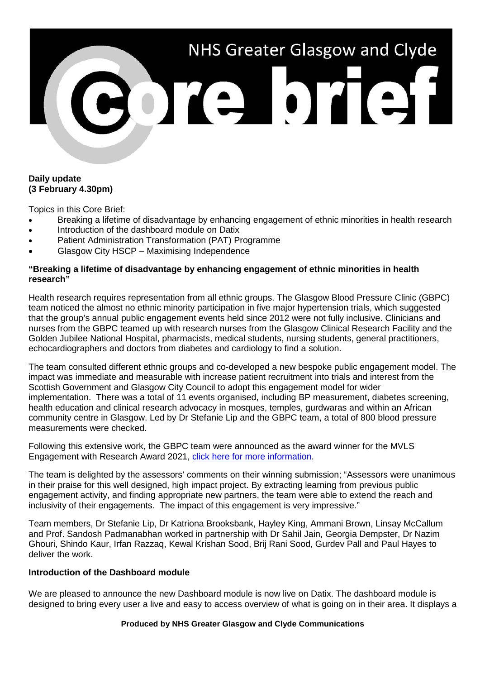# NHS Greater Glasgow and Clyde

### **Daily update (3 February 4.30pm)**

Topics in this Core Brief:

- Breaking a lifetime of disadvantage by enhancing engagement of ethnic minorities in health research
- Introduction of the dashboard module on Datix
- Patient Administration Transformation (PAT) Programme
- Glasgow City HSCP Maximising Independence

# **"Breaking a lifetime of disadvantage by enhancing engagement of ethnic minorities in health research"**

Health research requires representation from all ethnic groups. The Glasgow Blood Pressure Clinic (GBPC) team noticed the almost no ethnic minority participation in five major hypertension trials, which suggested that the group's annual public engagement events held since 2012 were not fully inclusive. Clinicians and nurses from the GBPC teamed up with research nurses from the Glasgow Clinical Research Facility and the Golden Jubilee National Hospital, pharmacists, medical students, nursing students, general practitioners, echocardiographers and doctors from diabetes and cardiology to find a solution.

The team consulted different ethnic groups and co-developed a new bespoke public engagement model. The impact was immediate and measurable with increase patient recruitment into trials and interest from the Scottish Government and Glasgow City Council to adopt this engagement model for wider implementation. There was a total of 11 events organised, including BP measurement, diabetes screening, health education and clinical research advocacy in mosques, temples, gurdwaras and within an African community centre in Glasgow. Led by Dr Stefanie Lip and the GBPC team, a total of 800 blood pressure measurements were checked.

Following this extensive work, the GBPC team were announced as the award winner for the MVLS Engagement with Research Award 2021, [click here for more information.](https://www.gla.ac.uk/colleges/mvls/researchinnovationengagementsupport/publicengagement/rewardandrecognition/mvlsengagementawards/)

The team is delighted by the assessors' comments on their winning submission; "Assessors were unanimous in their praise for this well designed, high impact project. By extracting learning from previous public engagement activity, and finding appropriate new partners, the team were able to extend the reach and inclusivity of their engagements. The impact of this engagement is very impressive."

Team members, Dr Stefanie Lip, Dr Katriona Brooksbank, Hayley King, Ammani Brown, Linsay McCallum and Prof. Sandosh Padmanabhan worked in partnership with Dr Sahil Jain, Georgia Dempster, Dr Nazim Ghouri, Shindo Kaur, Irfan Razzaq, Kewal Krishan Sood, Brij Rani Sood, Gurdev Pall and Paul Hayes to deliver the work.

### **Introduction of the Dashboard module**

We are pleased to announce the new Dashboard module is now live on Datix. The dashboard module is designed to bring every user a live and easy to access overview of what is going on in their area. It displays a

#### **Produced by NHS Greater Glasgow and Clyde Communications**